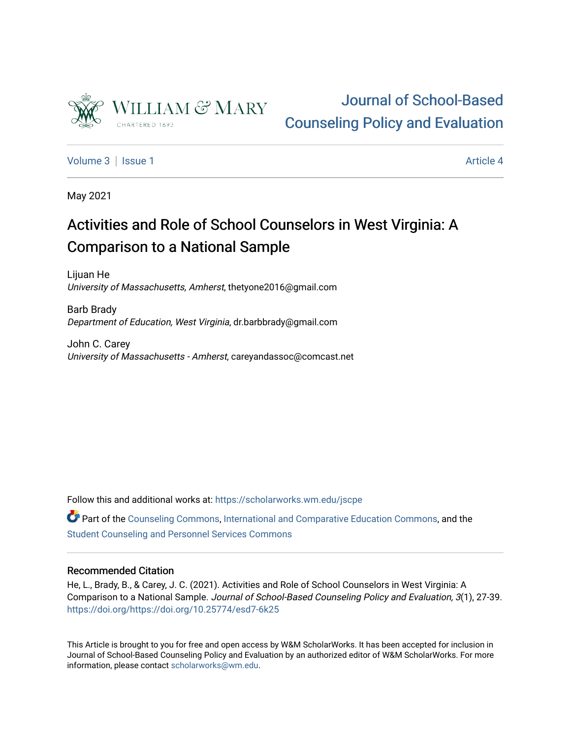

# [Journal of School-Based](https://scholarworks.wm.edu/jscpe)  [Counseling Policy and Evaluation](https://scholarworks.wm.edu/jscpe)

[Volume 3](https://scholarworks.wm.edu/jscpe/vol3) | [Issue 1](https://scholarworks.wm.edu/jscpe/vol3/iss1) Article 4

May 2021

# Activities and Role of School Counselors in West Virginia: A Comparison to a National Sample

Lijuan He University of Massachusetts, Amherst, thetyone2016@gmail.com

Barb Brady Department of Education, West Virginia, dr.barbbrady@gmail.com

John C. Carey University of Massachusetts - Amherst, careyandassoc@comcast.net

Follow this and additional works at: [https://scholarworks.wm.edu/jscpe](https://scholarworks.wm.edu/jscpe?utm_source=scholarworks.wm.edu%2Fjscpe%2Fvol3%2Fiss1%2F4&utm_medium=PDF&utm_campaign=PDFCoverPages) 

Part of the [Counseling Commons,](http://network.bepress.com/hgg/discipline/1268?utm_source=scholarworks.wm.edu%2Fjscpe%2Fvol3%2Fiss1%2F4&utm_medium=PDF&utm_campaign=PDFCoverPages) [International and Comparative Education Commons](http://network.bepress.com/hgg/discipline/797?utm_source=scholarworks.wm.edu%2Fjscpe%2Fvol3%2Fiss1%2F4&utm_medium=PDF&utm_campaign=PDFCoverPages), and the [Student Counseling and Personnel Services Commons](http://network.bepress.com/hgg/discipline/802?utm_source=scholarworks.wm.edu%2Fjscpe%2Fvol3%2Fiss1%2F4&utm_medium=PDF&utm_campaign=PDFCoverPages)

# Recommended Citation

He, L., Brady, B., & Carey, J. C. (2021). Activities and Role of School Counselors in West Virginia: A Comparison to a National Sample. Journal of School-Based Counseling Policy and Evaluation, 3(1), 27-39. <https://doi.org/https://doi.org/10.25774/esd7-6k25>

This Article is brought to you for free and open access by W&M ScholarWorks. It has been accepted for inclusion in Journal of School-Based Counseling Policy and Evaluation by an authorized editor of W&M ScholarWorks. For more information, please contact [scholarworks@wm.edu](mailto:scholarworks@wm.edu).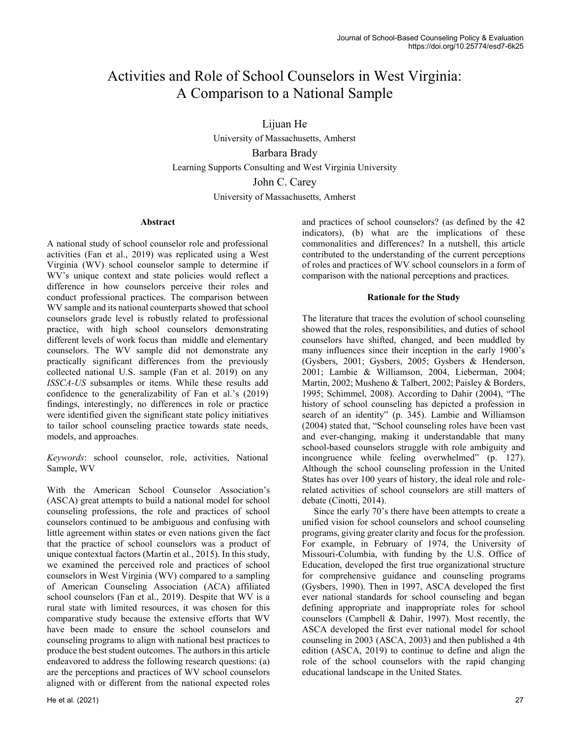# Activities and Role of School Counselors in West Virginia: A Comparison to a National Sample

Lijuan He University of Massachusetts, Amherst Barbara Brady Learning Supports Consulting and West Virginia University John C. Carey University of Massachusetts, Amherst

# **Abstract**

A national study of school counselor role and professional activities (Fan et al., 2019) was replicated using a West Virginia (WV) school counselor sample to determine if WV's unique context and state policies would reflect a difference in how counselors perceive their roles and conduct professional practices. The comparison between WV sample and its national counterparts showed that school counselors grade level is robustly related to professional practice, with high school counselors demonstrating different levels of work focus than middle and elementary counselors. The WV sample did not demonstrate any practically significant differences from the previously collected national U.S. sample (Fan et al. 2019) on any *ISSCA-US* subsamples or items. While these results add confidence to the generalizability of Fan et al.'s (2019) findings, interestingly, no differences in role or practice were identified given the significant state policy initiatives to tailor school counseling practice towards state needs, models, and approaches.

*Keywords*: school counselor, role, activities, National Sample, WV

With the American School Counselor Association's (ASCA) great attempts to build a national model for school counseling professions, the role and practices of school counselors continued to be ambiguous and confusing with little agreement within states or even nations given the fact that the practice of school counselors was a product of unique contextual factors (Martin et al., 2015). In this study, we examined the perceived role and practices of school counselors in West Virginia (WV) compared to a sampling of American Counseling Association (ACA) affiliated school counselors (Fan et al., 2019). Despite that WV is a rural state with limited resources, it was chosen for this comparative study because the extensive efforts that WV have been made to ensure the school counselors and counseling programs to align with national best practices to produce the best student outcomes. The authors in this article endeavored to address the following research questions: (a) are the perceptions and practices of WV school counselors aligned with or different from the national expected roles and practices of school counselors? (as defined by the 42 indicators), (b) what are the implications of these commonalities and differences? In a nutshell, this article contributed to the understanding of the current perceptions of roles and practices of WV school counselors in a form of comparison with the national perceptions and practices.

# **Rationale for the Study**

The literature that traces the evolution of school counseling showed that the roles, responsibilities, and duties of school counselors have shifted, changed, and been muddled by many influences since their inception in the early 1900's (Gysbers, 2001; Gysbers, 2005; Gysbers & Henderson, 2001; Lambie & Williamson, 2004, Lieberman, 2004; Martin, 2002; Musheno & Talbert, 2002; Paisley & Borders, 1995; Schimmel, 2008). According to Dahir (2004), "The history of school counseling has depicted a profession in search of an identity" (p. 345). Lambie and Williamson (2004) stated that, "School counseling roles have been vast and ever-changing, making it understandable that many school-based counselors struggle with role ambiguity and incongruence while feeling overwhelmed" (p. 127). Although the school counseling profession in the United States has over 100 years of history, the ideal role and rolerelated activities of school counselors are still matters of debate (Cinotti, 2014).

 Since the early 70's there have been attempts to create a unified vision for school counselors and school counseling programs, giving greater clarity and focus for the profession. For example, in February of 1974, the University of Missouri-Columbia, with funding by the U.S. Office of Education, developed the first true organizational structure for comprehensive guidance and counseling programs (Gysbers, 1990). Then in 1997, ASCA developed the first ever national standards for school counseling and began defining appropriate and inappropriate roles for school counselors (Campbell & Dahir, 1997). Most recently, the ASCA developed the first ever national model for school counseling in 2003 (ASCA, 2003) and then published a 4th edition (ASCA, 2019) to continue to define and align the role of the school counselors with the rapid changing educational landscape in the United States.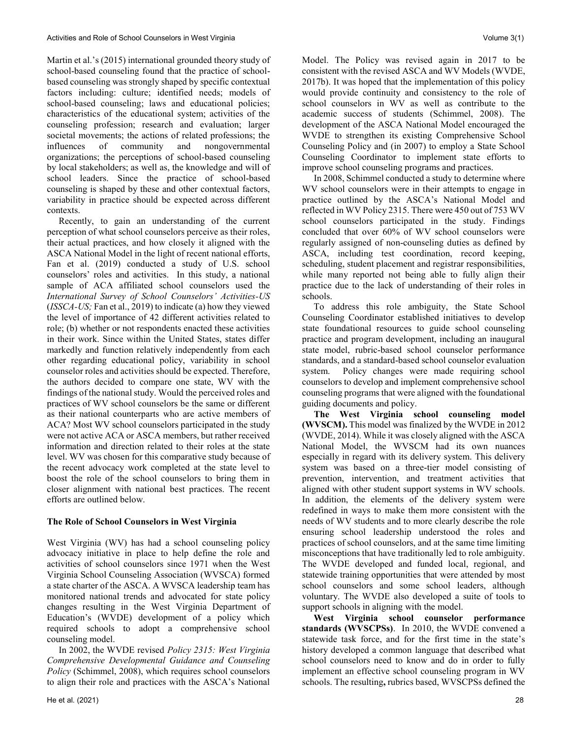Martin et al.'s (2015) international grounded theory study of school-based counseling found that the practice of schoolbased counseling was strongly shaped by specific contextual factors including: culture; identified needs; models of school-based counseling; laws and educational policies; characteristics of the educational system; activities of the counseling profession; research and evaluation; larger societal movements; the actions of related professions; the influences of community and nongovernmental organizations; the perceptions of school-based counseling by local stakeholders; as well as, the knowledge and will of school leaders. Since the practice of school-based counseling is shaped by these and other contextual factors, variability in practice should be expected across different contexts.

 Recently, to gain an understanding of the current perception of what school counselors perceive as their roles, their actual practices, and how closely it aligned with the ASCA National Model in the light of recent national efforts, Fan et al. (2019) conducted a study of U.S. school counselors' roles and activities. In this study, a national sample of ACA affiliated school counselors used the *International Survey of School Counselors' Activities-US*  (*ISSCA-US;* Fan et al., 2019) to indicate (a) how they viewed the level of importance of 42 different activities related to role; (b) whether or not respondents enacted these activities in their work. Since within the United States, states differ markedly and function relatively independently from each other regarding educational policy, variability in school counselor roles and activities should be expected. Therefore, the authors decided to compare one state, WV with the findings of the national study. Would the perceived roles and practices of WV school counselors be the same or different as their national counterparts who are active members of ACA? Most WV school counselors participated in the study were not active ACA or ASCA members, but rather received information and direction related to their roles at the state level. WV was chosen for this comparative study because of the recent advocacy work completed at the state level to boost the role of the school counselors to bring them in closer alignment with national best practices. The recent efforts are outlined below.

# **The Role of School Counselors in West Virginia**

West Virginia (WV) has had a school counseling policy advocacy initiative in place to help define the role and activities of school counselors since 1971 when the West Virginia School Counseling Association (WVSCA) formed a state charter of the ASCA. A WVSCA leadership team has monitored national trends and advocated for state policy changes resulting in the West Virginia Department of Education's (WVDE) development of a policy which required schools to adopt a comprehensive school counseling model.

 In 2002, the WVDE revised *Policy 2315: West Virginia Comprehensive Developmental Guidance and Counseling Policy* (Schimmel, 2008), which requires school counselors to align their role and practices with the ASCA's National Model. The Policy was revised again in 2017 to be consistent with the revised ASCA and WV Models (WVDE, 2017b). It was hoped that the implementation of this policy would provide continuity and consistency to the role of school counselors in WV as well as contribute to the academic success of students (Schimmel, 2008). The development of the ASCA National Model encouraged the WVDE to strengthen its existing Comprehensive School Counseling Policy and (in 2007) to employ a State School Counseling Coordinator to implement state efforts to improve school counseling programs and practices.

 In 2008, Schimmel conducted a study to determine where WV school counselors were in their attempts to engage in practice outlined by the ASCA's National Model and reflected in WV Policy 2315. There were 450 out of 753 WV school counselors participated in the study. Findings concluded that over 60% of WV school counselors were regularly assigned of non-counseling duties as defined by ASCA, including test coordination, record keeping, scheduling, student placement and registrar responsibilities, while many reported not being able to fully align their practice due to the lack of understanding of their roles in schools.

 To address this role ambiguity, the State School Counseling Coordinator established initiatives to develop state foundational resources to guide school counseling practice and program development, including an inaugural state model, rubric-based school counselor performance standards, and a standard-based school counselor evaluation system. Policy changes were made requiring school counselors to develop and implement comprehensive school counseling programs that were aligned with the foundational guiding documents and policy.

 **The West Virginia school counseling model (WVSCM).** This model was finalized by the WVDE in 2012 (WVDE, 2014). While it was closely aligned with the ASCA National Model, the WVSCM had its own nuances especially in regard with its delivery system. This delivery system was based on a three-tier model consisting of prevention, intervention, and treatment activities that aligned with other student support systems in WV schools. In addition, the elements of the delivery system were redefined in ways to make them more consistent with the needs of WV students and to more clearly describe the role ensuring school leadership understood the roles and practices of school counselors, and at the same time limiting misconceptions that have traditionally led to role ambiguity. The WVDE developed and funded local, regional, and statewide training opportunities that were attended by most school counselors and some school leaders, although voluntary. The WVDE also developed a suite of tools to support schools in aligning with the model.

**West Virginia school counselor performance standards (WVSCPSs)**. In 2010, the WVDE convened a statewide task force, and for the first time in the state's history developed a common language that described what school counselors need to know and do in order to fully implement an effective school counseling program in WV schools. The resulting**,** rubrics based, WVSCPSs defined the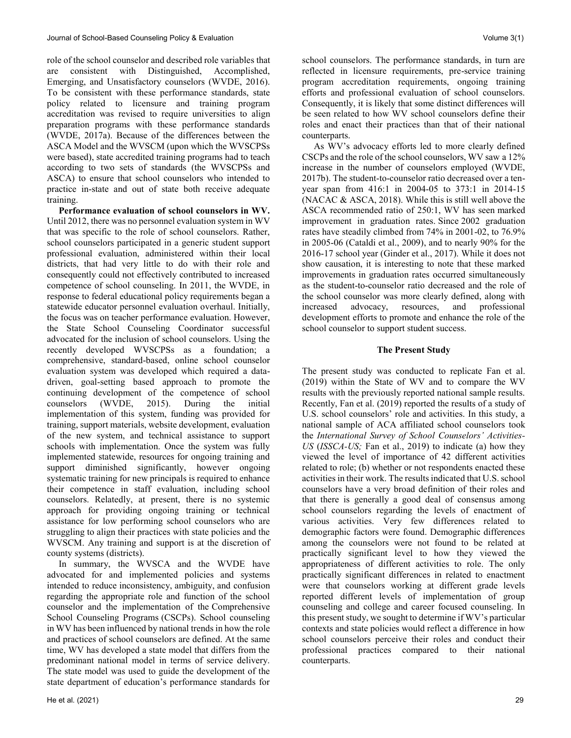role of the school counselor and described role variables that are consistent with Distinguished, Accomplished, Emerging, and Unsatisfactory counselors (WVDE, 2016). To be consistent with these performance standards, state policy related to licensure and training program accreditation was revised to require universities to align preparation programs with these performance standards (WVDE, 2017a). Because of the differences between the ASCA Model and the WVSCM (upon which the WVSCPSs were based), state accredited training programs had to teach according to two sets of standards (the WVSCPSs and ASCA) to ensure that school counselors who intended to practice in-state and out of state both receive adequate training.

 **Performance evaluation of school counselors in WV.** Until 2012, there was no personnel evaluation system in WV that was specific to the role of school counselors. Rather, school counselors participated in a generic student support professional evaluation, administered within their local districts, that had very little to do with their role and consequently could not effectively contributed to increased competence of school counseling. In 2011, the WVDE, in response to federal educational policy requirements began a statewide educator personnel evaluation overhaul. Initially, the focus was on teacher performance evaluation. However, the State School Counseling Coordinator successful advocated for the inclusion of school counselors. Using the recently developed WVSCPSs as a foundation; a comprehensive, standard-based, online school counselor evaluation system was developed which required a datadriven, goal-setting based approach to promote the continuing development of the competence of school counselors (WVDE, 2015). During the initial implementation of this system, funding was provided for training, support materials, website development, evaluation of the new system, and technical assistance to support schools with implementation. Once the system was fully implemented statewide, resources for ongoing training and support diminished significantly, however ongoing systematic training for new principals is required to enhance their competence in staff evaluation, including school counselors. Relatedly, at present, there is no systemic approach for providing ongoing training or technical assistance for low performing school counselors who are struggling to align their practices with state policies and the WVSCM. Any training and support is at the discretion of county systems (districts).

 In summary, the WVSCA and the WVDE have advocated for and implemented policies and systems intended to reduce inconsistency, ambiguity, and confusion regarding the appropriate role and function of the school counselor and the implementation of the Comprehensive School Counseling Programs (CSCPs). School counseling in WV has been influenced by national trends in how the role and practices of school counselors are defined. At the same time, WV has developed a state model that differs from the predominant national model in terms of service delivery. The state model was used to guide the development of the state department of education's performance standards for school counselors. The performance standards, in turn are reflected in licensure requirements, pre-service training program accreditation requirements, ongoing training efforts and professional evaluation of school counselors. Consequently, it is likely that some distinct differences will be seen related to how WV school counselors define their roles and enact their practices than that of their national counterparts.

 As WV's advocacy efforts led to more clearly defined CSCPs and the role of the school counselors, WV saw a 12% increase in the number of counselors employed (WVDE, 2017b). The student-to-counselor ratio decreased over a tenyear span from 416:1 in 2004-05 to 373:1 in 2014-15 (NACAC & ASCA, 2018). While this is still well above the ASCA recommended ratio of 250:1, WV has seen marked improvement in graduation rates. Since 2002 graduation rates have steadily climbed from 74% in 2001-02, to 76.9% in 2005-06 (Cataldi et al., 2009), and to nearly 90% for the 2016-17 school year (Ginder et al., 2017). While it does not show causation, it is interesting to note that these marked improvements in graduation rates occurred simultaneously as the student-to-counselor ratio decreased and the role of the school counselor was more clearly defined, along with increased advocacy, resources, and professional development efforts to promote and enhance the role of the school counselor to support student success.

# **The Present Study**

The present study was conducted to replicate Fan et al. (2019) within the State of WV and to compare the WV results with the previously reported national sample results. Recently, Fan et al. (2019) reported the results of a study of U.S. school counselors' role and activities. In this study, a national sample of ACA affiliated school counselors took the *International Survey of School Counselors' Activities-US* (*ISSCA-US;* Fan et al., 2019) to indicate (a) how they viewed the level of importance of 42 different activities related to role; (b) whether or not respondents enacted these activities in their work. The results indicated that U.S. school counselors have a very broad definition of their roles and that there is generally a good deal of consensus among school counselors regarding the levels of enactment of various activities. Very few differences related to demographic factors were found. Demographic differences among the counselors were not found to be related at practically significant level to how they viewed the appropriateness of different activities to role. The only practically significant differences in related to enactment were that counselors working at different grade levels reported different levels of implementation of group counseling and college and career focused counseling. In this present study, we sought to determine if WV's particular contexts and state policies would reflect a difference in how school counselors perceive their roles and conduct their professional practices compared to their national counterparts.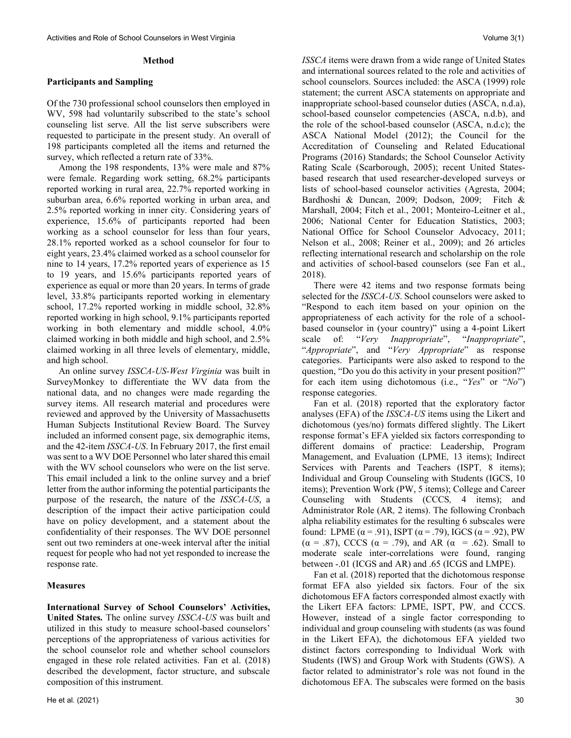#### **Method**

# **Participants and Sampling**

Of the 730 professional school counselors then employed in WV, 598 had voluntarily subscribed to the state's school counseling list serve. All the list serve subscribers were requested to participate in the present study. An overall of 198 participants completed all the items and returned the survey, which reflected a return rate of 33%.

 Among the 198 respondents, 13% were male and 87% were female. Regarding work setting, 68.2% participants reported working in rural area, 22.7% reported working in suburban area, 6.6% reported working in urban area, and 2.5% reported working in inner city. Considering years of experience, 15.6% of participants reported had been working as a school counselor for less than four years, 28.1% reported worked as a school counselor for four to eight years, 23.4% claimed worked as a school counselor for nine to 14 years, 17.2% reported years of experience as 15 to 19 years, and 15.6% participants reported years of experience as equal or more than 20 years. In terms of grade level, 33.8% participants reported working in elementary school, 17.2% reported working in middle school, 32.8% reported working in high school, 9.1% participants reported working in both elementary and middle school, 4.0% claimed working in both middle and high school, and 2.5% claimed working in all three levels of elementary, middle, and high school.

 An online survey *ISSCA-US-West Virginia* was built in SurveyMonkey to differentiate the WV data from the national data, and no changes were made regarding the survey items. All research material and procedures were reviewed and approved by the University of Massachusetts Human Subjects Institutional Review Board. The Survey included an informed consent page, six demographic items, and the 42-item *ISSCA-US*. In February 2017, the first email was sent to a WV DOE Personnel who later shared this email with the WV school counselors who were on the list serve. This email included a link to the online survey and a brief letter from the author informing the potential participants the purpose of the research, the nature of the *ISSCA-US*, a description of the impact their active participation could have on policy development, and a statement about the confidentiality of their responses. The WV DOE personnel sent out two reminders at one-week interval after the initial request for people who had not yet responded to increase the response rate.

# **Measures**

**International Survey of School Counselors' Activities, United States***.* The online survey *ISSCA-US* was built and utilized in this study to measure school-based counselors' perceptions of the appropriateness of various activities for the school counselor role and whether school counselors engaged in these role related activities. Fan et al. (2018) described the development, factor structure, and subscale composition of this instrument*.*

*ISSCA* items were drawn from a wide range of United States and international sources related to the role and activities of school counselors. Sources included: the ASCA (1999) role statement; the current ASCA statements on appropriate and inappropriate school-based counselor duties (ASCA, n.d.a), school-based counselor competencies (ASCA, n.d.b), and the role of the school-based counselor (ASCA, n.d.c); the ASCA National Model (2012); the Council for the Accreditation of Counseling and Related Educational Programs (2016) Standards; the School Counselor Activity Rating Scale (Scarborough, 2005); recent United Statesbased research that used researcher-developed surveys or lists of school-based counselor activities (Agresta, 2004; Bardhoshi & Duncan, 2009; Dodson, 2009; Fitch & Marshall, 2004; Fitch et al., 2001; Monteiro-Leitner et al., 2006; National Center for Education Statistics, 2003; National Office for School Counselor Advocacy, 2011; Nelson et al., 2008; Reiner et al., 2009); and 26 articles reflecting international research and scholarship on the role and activities of school-based counselors (see Fan et al., 2018).

 There were 42 items and two response formats being selected for the *ISSCA-US*. School counselors were asked to "Respond to each item based on your opinion on the appropriateness of each activity for the role of a schoolbased counselor in (your country)" using a 4-point Likert scale of: "*Very Inappropriate*", "*Inappropriate*", "*Appropriate*", and "*Very Appropriate*" as response categories. Participants were also asked to respond to the question, "Do you do this activity in your present position?" for each item using dichotomous (i.e., "*Yes*" or "*No*") response categories.

 Fan et al. (2018) reported that the exploratory factor analyses (EFA) of the *ISSCA-US* items using the Likert and dichotomous (yes/no) formats differed slightly. The Likert response format's EFA yielded six factors corresponding to different domains of practice: Leadership, Program Management, and Evaluation (LPME*,* 13 items); Indirect Services with Parents and Teachers (ISPT*,* 8 items); Individual and Group Counseling with Students (IGCS, 10 items); Prevention Work (PW, 5 items); College and Career Counseling with Students (CCCS*,* 4 items); and Administrator Role (AR*,* 2 items). The following Cronbach alpha reliability estimates for the resulting 6 subscales were found: LPME ( $\alpha$  = .91), ISPT ( $\alpha$  = .79), IGCS ( $\alpha$  = .92), PW  $(\alpha = .87)$ , CCCS  $(\alpha = .79)$ , and AR  $(\alpha = .62)$ . Small to moderate scale inter-correlations were found, ranging between -.01 (ICGS and AR) and .65 (ICGS and LMPE).

 Fan et al. (2018) reported that the dichotomous response format EFA also yielded six factors. Four of the six dichotomous EFA factors corresponded almost exactly with the Likert EFA factors: LPME, ISPT, PW*,* and CCCS. However, instead of a single factor corresponding to individual and group counseling with students (as was found in the Likert EFA), the dichotomous EFA yielded two distinct factors corresponding to Individual Work with Students (IWS) and Group Work with Students (GWS). A factor related to administrator's role was not found in the dichotomous EFA. The subscales were formed on the basis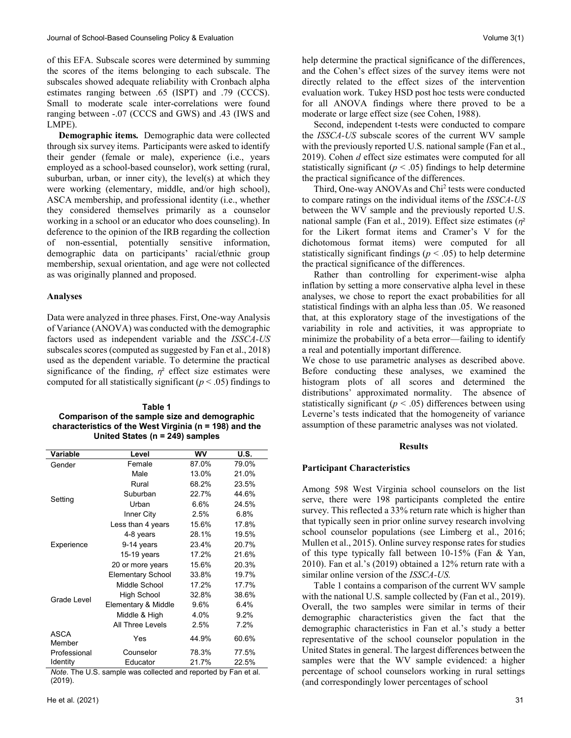of this EFA. Subscale scores were determined by summing the scores of the items belonging to each subscale. The subscales showed adequate reliability with Cronbach alpha estimates ranging between .65 (ISPT) and .79 (CCCS). Small to moderate scale inter-correlations were found ranging between -.07 (CCCS and GWS) and .43 (IWS and LMPE).

 **Demographic items***.* Demographic data were collected through six survey items. Participants were asked to identify their gender (female or male), experience (i.e., years employed as a school-based counselor), work setting (rural, suburban, urban, or inner city), the level(s) at which they were working (elementary, middle, and/or high school), ASCA membership, and professional identity (i.e., whether they considered themselves primarily as a counselor working in a school or an educator who does counseling). In deference to the opinion of the IRB regarding the collection of non-essential, potentially sensitive information, demographic data on participants' racial/ethnic group membership, sexual orientation, and age were not collected as was originally planned and proposed.

# **Analyses**

Data were analyzed in three phases. First, One-way Analysis of Variance (ANOVA) was conducted with the demographic factors used as independent variable and the *ISSCA-US* subscales scores (computed as suggested by Fan et al., 2018) used as the dependent variable. To determine the practical significance of the finding,  $\eta^2$  effect size estimates were computed for all statistically significant ( $p < .05$ ) findings to

| Table 1                                                    |
|------------------------------------------------------------|
| Comparison of the sample size and demographic              |
| characteristics of the West Virginia ( $n = 198$ ) and the |
| United States ( $n = 249$ ) samples                        |

| Variable              | Level                    | <b>WV</b> | U.S.  |
|-----------------------|--------------------------|-----------|-------|
| Gender                | Female                   | 87.0%     | 79.0% |
|                       | Male                     | 13.0%     | 21.0% |
|                       | Rural                    | 68.2%     | 23.5% |
|                       | Suburban                 | 22.7%     | 44.6% |
| Setting               | Urban                    | 6.6%      | 24.5% |
|                       | Inner City               | 2.5%      | 6.8%  |
|                       | Less than 4 years        | 15.6%     | 17.8% |
|                       | 4-8 years                | 28.1%     | 19.5% |
| Experience            | 9-14 years               | 23.4%     | 20.7% |
|                       | 15-19 years              | 17.2%     | 21.6% |
|                       | 20 or more years         | 15.6%     | 20.3% |
|                       | <b>Elementary School</b> | 33.8%     | 19.7% |
|                       | Middle School            | 17.2%     | 17.7% |
| Grade Level           | High School              | 32.8%     | 38.6% |
|                       | Elementary & Middle      | 9.6%      | 6.4%  |
|                       | Middle & High            | 4.0%      | 9.2%  |
|                       | All Three Levels         | 2.5%      | 7.2%  |
| <b>ASCA</b><br>Member | Yes                      | 44.9%     | 60.6% |
| Professional          | Counselor                | 78.3%     | 77.5% |
| Identity              | Educator                 | 21.7%     | 22.5% |

*Note*. The U.S. sample was collected and reported by Fan et al. (2019).

help determine the practical significance of the differences, and the Cohen's effect sizes of the survey items were not directly related to the effect sizes of the intervention evaluation work. Tukey HSD post hoc tests were conducted for all ANOVA findings where there proved to be a moderate or large effect size (see Cohen, 1988).

Second, independent t-tests were conducted to compare the *ISSCA-US* subscale scores of the current WV sample with the previously reported U.S. national sample (Fan et al., 2019). Cohen *d* effect size estimates were computed for all statistically significant ( $p < .05$ ) findings to help determine the practical significance of the differences.

Third, One-way ANOVAs and Chi<sup>2</sup> tests were conducted to compare ratings on the individual items of the *ISSCA-US* between the WV sample and the previously reported U.S. national sample (Fan et al., 2019). Effect size estimates (*η* 2 for the Likert format items and Cramer's V for the dichotomous format items) were computed for all statistically significant findings ( $p < .05$ ) to help determine the practical significance of the differences.

 Rather than controlling for experiment-wise alpha inflation by setting a more conservative alpha level in these analyses, we chose to report the exact probabilities for all statistical findings with an alpha less than .05. We reasoned that, at this exploratory stage of the investigations of the variability in role and activities, it was appropriate to minimize the probability of a beta error—failing to identify a real and potentially important difference.

We chose to use parametric analyses as described above. Before conducting these analyses, we examined the histogram plots of all scores and determined the distributions' approximated normality. The absence of statistically significant  $(p < .05)$  differences between using Leverne's tests indicated that the homogeneity of variance assumption of these parametric analyses was not violated.

# **Results**

#### **Participant Characteristics**

Among 598 West Virginia school counselors on the list serve, there were 198 participants completed the entire survey. This reflected a 33% return rate which is higher than that typically seen in prior online survey research involving school counselor populations (see Limberg et al., 2016; Mullen et al., 2015). Online survey response rates for studies of this type typically fall between 10-15% (Fan & Yan, 2010). Fan et al.'s (2019) obtained a 12% return rate with a similar online version of the *ISSCA-US.*

 Table 1 contains a comparison of the current WV sample with the national U.S. sample collected by (Fan et al., 2019). Overall, the two samples were similar in terms of their demographic characteristics given the fact that the demographic characteristics in Fan et al.'s study a better representative of the school counselor population in the United States in general. The largest differences between the samples were that the WV sample evidenced: a higher percentage of school counselors working in rural settings (and correspondingly lower percentages of school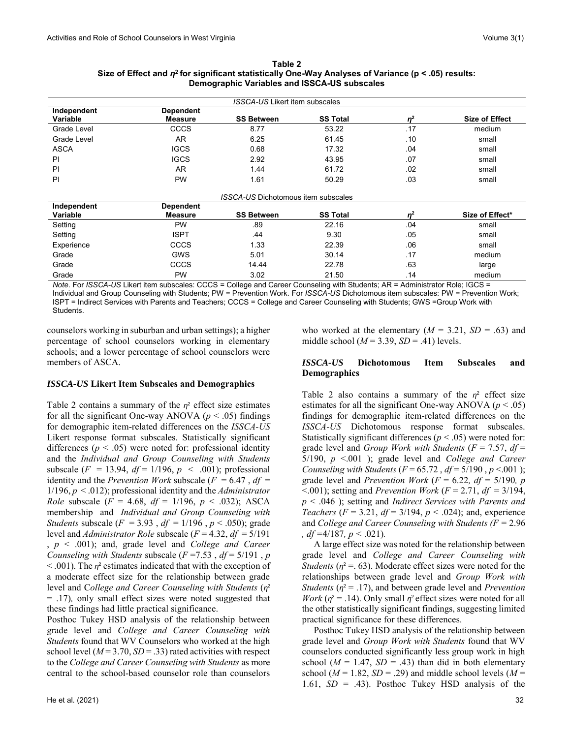| Table 2                                                                                                       |
|---------------------------------------------------------------------------------------------------------------|
| Size of Effect and $\eta^2$ for significant statistically One-Way Analyses of Variance ( $p < .05$ ) results: |
| Demographic Variables and ISSCA-US subscales                                                                  |

| <b>ISSCA-US Likert item subscales</b> |                  |                                     |                 |          |                       |  |  |  |
|---------------------------------------|------------------|-------------------------------------|-----------------|----------|-----------------------|--|--|--|
| Independent                           | <b>Dependent</b> |                                     |                 |          |                       |  |  |  |
| Variable                              | <b>Measure</b>   | <b>SS Between</b>                   | <b>SS Total</b> | $\eta^2$ | <b>Size of Effect</b> |  |  |  |
| Grade Level                           | <b>CCCS</b>      | 8.77                                | 53.22           | .17      | medium                |  |  |  |
| Grade Level                           | AR.              | 6.25                                | 61.45           | .10      | small                 |  |  |  |
| <b>ASCA</b>                           | <b>IGCS</b>      | 0.68                                | 17.32           | .04      | small                 |  |  |  |
| ΡI                                    | <b>IGCS</b>      | 2.92                                | 43.95           | .07      | small                 |  |  |  |
| PI                                    | AR.              | 1.44                                | 61.72           | .02      | small                 |  |  |  |
| PI<br><b>PW</b>                       |                  | 1.61                                | 50.29<br>.03    |          | small                 |  |  |  |
|                                       |                  | ISSCA-US Dichotomous item subscales |                 |          |                       |  |  |  |
| Independent                           | <b>Dependent</b> |                                     |                 |          |                       |  |  |  |
| Variable                              | <b>Measure</b>   | <b>SS Between</b>                   | <b>SS Total</b> | $n^2$    | Size of Effect*       |  |  |  |
| Setting                               | PW               | .89                                 | 22.16           | .04      | small                 |  |  |  |
| Setting                               | <b>ISPT</b>      | .44                                 | 9.30            | .05      | small                 |  |  |  |
| Experience                            | <b>CCCS</b>      | 1.33                                | 22.39           | .06      | small                 |  |  |  |
| Grade                                 | <b>GWS</b>       | 5.01                                | 30.14           | .17      | medium                |  |  |  |
| Grade                                 | CCCS             | 14.44                               | 22.78           | .63      | large                 |  |  |  |
| Grade                                 | <b>PW</b>        | 3.02                                | 21.50           | .14      | medium                |  |  |  |

*Note*. For *ISSCA-US* Likert item subscales: CCCS = College and Career Counseling with Students; AR = Administrator Role; IGCS = Individual and Group Counseling with Students; PW = Prevention Work. For *ISSCA-US* Dichotomous item subscales: PW = Prevention Work; ISPT = Indirect Services with Parents and Teachers; CCCS = College and Career Counseling with Students; GWS =Group Work with Students.

counselors working in suburban and urban settings); a higher percentage of school counselors working in elementary schools; and a lower percentage of school counselors were members of ASCA.

# *ISSCA-US* **Likert Item Subscales and Demographics**

Table 2 contains a summary of the  $\eta^2$  effect size estimates for all the significant One-way ANOVA ( $p < .05$ ) findings for demographic item-related differences on the *ISSCA-US* Likert response format subscales. Statistically significant differences ( $p < .05$ ) were noted for: professional identity and the *Individual and Group Counseling with Students* subscale  $(F = 13.94, df = 1/196, p < .001)$ ; professional identity and the *Prevention Work* subscale ( $F = 6.47$ ,  $df =$ 1/196, *p* < .012); professional identity and the *Administrator Role* subscale ( $F = 4.68$ ,  $df = 1/196$ ,  $p < .032$ ); ASCA membership and *Individual and Group Counseling with Students* subscale (*F* = 3.93 , *df* = 1/196 , *p* < .050); grade level and *Administrator Role* subscale (*F* = 4.32, *df* = 5/191 , *p* < .001); and, grade level and *College and Career Counseling with Students subscale*  $(F = 7.53, df = 5/191, p$  $<$  0.01). The  $\eta$ <sup>2</sup> estimates indicated that with the exception of a moderate effect size for the relationship between grade level and College and Career Counseling with Students (η<sup>2</sup> = .17)*,* only small effect sizes were noted suggested that these findings had little practical significance.

Posthoc Tukey HSD analysis of the relationship between grade level and *College and Career Counseling with Students* found that WV Counselors who worked at the high school level  $(M = 3.70, SD = .33)$  rated activities with respect to the *College and Career Counseling with Students* as more central to the school-based counselor role than counselors

who worked at the elementary  $(M = 3.21, SD = .63)$  and middle school ( $M = 3.39$ ,  $SD = .41$ ) levels.

# *ISSCA-US* **Dichotomous Item Subscales and Demographics**

Table 2 also contains a summary of the  $n^2$  effect size estimates for all the significant One-way ANOVA ( $p < .05$ ) findings for demographic item-related differences on the *ISSCA-US* Dichotomous response format subscales. Statistically significant differences ( $p < .05$ ) were noted for: grade level and *Group Work with Students*  $(F = 7.57, df =$ 5/190, *p* <.001 ); grade level and *College and Career Counseling with Students* ( $F = 65.72$ ,  $df = 5/190$ ,  $p < .001$ ); grade level and *Prevention Work* (*F* = 6.22*, df =* 5/190*, p*   $\leq$ .001); setting and *Prevention Work* ( $F = 2.71$ ,  $df = 3/194$ , *p* < .046 ); setting and *Indirect Services with Parents and Teachers* ( $F = 3.21$ ,  $df = 3/194$ ,  $p < .024$ ); and, experience and *College and Career Counseling with Students (F =* 2.96 *, df =*4/187*, p <* .021)*.*

A large effect size was noted for the relationship between grade level and *College and Career Counseling with Students* ( $\eta^2$  = .63). Moderate effect sizes were noted for the relationships between grade level and *Group Work with Students* ( $\eta^2 = .17$ ), and between grade level and *Prevention Work* ( $\eta^2$  = .14). Only small  $\eta^2$  effect sizes were noted for all the other statistically significant findings, suggesting limited practical significance for these differences.

 Posthoc Tukey HSD analysis of the relationship between grade level and *Group Work with Students* found that WV counselors conducted significantly less group work in high school ( $M = 1.47$ ,  $SD = .43$ ) than did in both elementary school ( $M = 1.82$ ,  $SD = .29$ ) and middle school levels ( $M =$ 1.61,  $SD = .43$ ). Posthoc Tukey HSD analysis of the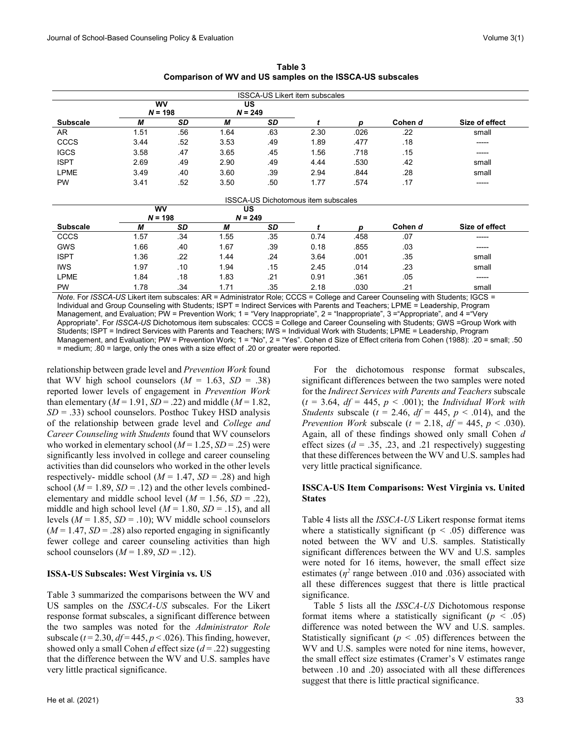| <b>ISSCA-US Likert item subscales</b>      |                        |                        |      |                        |      |      |         |                |  |  |
|--------------------------------------------|------------------------|------------------------|------|------------------------|------|------|---------|----------------|--|--|
|                                            |                        | <b>WV</b><br>$N = 198$ |      | <b>US</b><br>$N = 249$ |      |      |         |                |  |  |
| <b>Subscale</b>                            | М                      | <b>SD</b>              | M    | SD                     |      | p    | Cohen d | Size of effect |  |  |
| AR                                         | 1.51                   | .56                    | 1.64 | .63                    | 2.30 | .026 | .22     | small          |  |  |
| CCCS                                       | 3.44                   | .52                    | 3.53 | .49                    | 1.89 | .477 | .18     | -----          |  |  |
| <b>IGCS</b>                                | 3.58                   | .47                    | 3.65 | .45                    | 1.56 | .718 | .15     | -----          |  |  |
| <b>ISPT</b>                                | 2.69                   | .49                    | 2.90 | .49                    | 4.44 | .530 | .42     | small          |  |  |
| <b>LPME</b>                                | 3.49                   | .40                    | 3.60 | .39                    | 2.94 | .844 | .28     | small          |  |  |
| <b>PW</b>                                  | 3.41                   | .52                    | 3.50 | .50                    | 1.77 | .574 | .17     | -----          |  |  |
| <b>ISSCA-US Dichotomous item subscales</b> |                        |                        |      |                        |      |      |         |                |  |  |
|                                            | <b>WV</b><br><b>US</b> |                        |      |                        |      |      |         |                |  |  |
|                                            | $N = 198$              |                        |      | $N = 249$              |      |      |         |                |  |  |
| <b>Subscale</b>                            | М                      | SD                     | М    | <b>SD</b>              |      | р    | Cohen d | Size of effect |  |  |
| <b>CCCS</b>                                | 1.57                   | .34                    | 1.55 | .35                    | 0.74 | .458 | .07     | ------         |  |  |
| <b>GWS</b>                                 | 1.66                   | .40                    | 1.67 | .39                    | 0.18 | .855 | .03     | ------         |  |  |
| <b>ISPT</b>                                | 1.36                   | .22                    | 1.44 | .24                    | 3.64 | .001 | .35     | small          |  |  |
| <b>IWS</b>                                 | 1.97                   | .10                    | 1.94 | .15                    | 2.45 | .014 | .23     | small          |  |  |
| <b>LPME</b>                                | 1.84                   | .18                    | 1.83 | .21                    | 0.91 | .361 | .05     | -----          |  |  |
| PW                                         | 1.78                   | .34                    | 1.71 | .35                    | 2.18 | .030 | .21     | small          |  |  |

**Table 3 Comparison of WV and US samples on the ISSCA-US subscales**

*Note*. For *ISSCA-US* Likert item subscales: AR = Administrator Role; CCCS = College and Career Counseling with Students; IGCS = Individual and Group Counseling with Students; ISPT = Indirect Services with Parents and Teachers; LPME = Leadership, Program Management, and Evaluation; PW = Prevention Work; 1 = "Very Inappropriate", 2 = "Inappropriate", 3 = "Appropriate", and 4 = "Very Appropriate". For *ISSCA-US* Dichotomous item subscales: CCCS = College and Career Counseling with Students; GWS =Group Work with Students; ISPT = Indirect Services with Parents and Teachers; IWS = Individual Work with Students; LPME = Leadership, Program Management, and Evaluation; PW = Prevention Work; 1 = "No", 2 = "Yes". Cohen d Size of Effect criteria from Cohen (1988): .20 = small; .50 = medium; .80 = large, only the ones with a size effect of .20 or greater were reported.

relationship between grade level and *Prevention Work* found that WV high school counselors  $(M = 1.63, SD = .38)$ reported lower levels of engagement in *Prevention Work* than elementary ( $M = 1.91$ ,  $SD = .22$ ) and middle ( $M = 1.82$ , *SD* = .33) school counselors. Posthoc Tukey HSD analysis of the relationship between grade level and *College and Career Counseling with Students* found that WV counselors who worked in elementary school  $(M = 1.25, SD = .25)$  were significantly less involved in college and career counseling activities than did counselors who worked in the other levels respectively- middle school ( $M = 1.47$ ,  $SD = .28$ ) and high school ( $M = 1.89$ ,  $SD = .12$ ) and the other levels combinedelementary and middle school level  $(M = 1.56, SD = .22)$ , middle and high school level  $(M = 1.80, SD = .15)$ , and all levels ( $M = 1.85$ ,  $SD = .10$ ); WV middle school counselors  $(M = 1.47, SD = .28)$  also reported engaging in significantly fewer college and career counseling activities than high school counselors  $(M = 1.89, SD = .12)$ .

# **ISSA-US Subscales: West Virginia vs. US**

Table 3 summarized the comparisons between the WV and US samples on the *ISSCA-US* subscales. For the Likert response format subscales, a significant difference between the two samples was noted for the *Administrator Role*  subscale  $(t = 2.30, df = 445, p < .026)$ . This finding, however, showed only a small Cohen *d* effect size (*d* = .22) suggesting that the difference between the WV and U.S. samples have very little practical significance.

 For the dichotomous response format subscales, significant differences between the two samples were noted for the *Indirect Services with Parents and Teachers* subscale  $(t = 3.64, df = 445, p < .001)$ ; the *Individual Work with Students* subscale ( $t = 2.46$ ,  $df = 445$ ,  $p < .014$ ), and the *Prevention Work* subscale ( $t = 2.18$ ,  $df = 445$ ,  $p < .030$ ). Again, all of these findings showed only small Cohen *d* effect sizes  $(d = .35, .23, \text{ and } .21 \text{ respectively})$  suggesting that these differences between the WV and U.S. samples had very little practical significance.

# **ISSCA-US Item Comparisons: West Virginia vs. United States**

Table 4 lists all the *ISSCA-US* Likert response format items where a statistically significant ( $p < .05$ ) difference was noted between the WV and U.S. samples. Statistically significant differences between the WV and U.S. samples were noted for 16 items, however, the small effect size estimates ( $\eta^2$  range between .010 and .036) associated with all these differences suggest that there is little practical significance.

 Table 5 lists all the *ISSCA-US* Dichotomous response format items where a statistically significant  $(p < .05)$ difference was noted between the WV and U.S. samples. Statistically significant  $(p < .05)$  differences between the WV and U.S. samples were noted for nine items, however, the small effect size estimates (Cramer's V estimates range between .10 and .20) associated with all these differences suggest that there is little practical significance.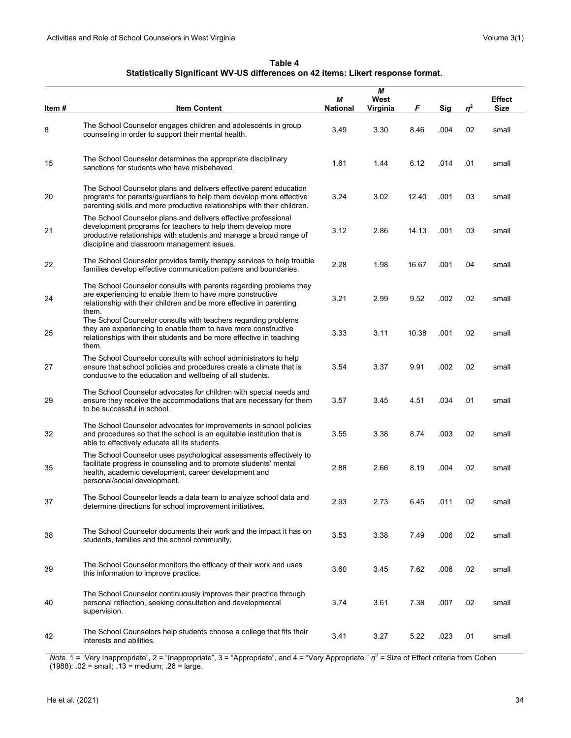**Table 4 Statistically Significant WV-US differences on 42 items: Likert response format.**

| Item # | <b>Item Content</b>                                                                                                                                                                                                                                | М<br><b>National</b> | М<br>West<br>Virginia | F     | Sig  | $\eta^2$ | <b>Effect</b><br><b>Size</b> |
|--------|----------------------------------------------------------------------------------------------------------------------------------------------------------------------------------------------------------------------------------------------------|----------------------|-----------------------|-------|------|----------|------------------------------|
| 8      | The School Counselor engages children and adolescents in group<br>counseling in order to support their mental health.                                                                                                                              | 3.49                 | 3.30                  | 8.46  | .004 | .02      | small                        |
| 15     | The School Counselor determines the appropriate disciplinary<br>sanctions for students who have misbehaved.                                                                                                                                        | 1.61                 | 1.44                  | 6.12  | .014 | .01      | small                        |
| 20     | The School Counselor plans and delivers effective parent education<br>programs for parents/guardians to help them develop more effective<br>parenting skills and more productive relationships with their children.                                | 3.24                 | 3.02                  | 12.40 | .001 | .03      | small                        |
| 21     | The School Counselor plans and delivers effective professional<br>development programs for teachers to help them develop more<br>productive relationships with students and manage a broad range of<br>discipline and classroom management issues. | 3.12                 | 2.86                  | 14.13 | .001 | .03      | small                        |
| 22     | The School Counselor provides family therapy services to help trouble<br>families develop effective communication patters and boundaries.                                                                                                          | 2.28                 | 1.98                  | 16.67 | .001 | .04      | small                        |
| 24     | The School Counselor consults with parents regarding problems they<br>are experiencing to enable them to have more constructive<br>relationship with their children and be more effective in parenting<br>them.                                    | 3.21                 | 2.99                  | 9.52  | .002 | .02      | small                        |
| 25     | The School Counselor consults with teachers regarding problems<br>they are experiencing to enable them to have more constructive<br>relationships with their students and be more effective in teaching<br>them.                                   | 3.33                 | 3.11                  | 10.38 | .001 | .02      | small                        |
| 27     | The School Counselor consults with school administrators to help<br>ensure that school policies and procedures create a climate that is<br>conducive to the education and wellbeing of all students.                                               | 3.54                 | 3.37                  | 9.91  | .002 | .02      | small                        |
| 29     | The School Counselor advocates for children with special needs and<br>ensure they receive the accommodations that are necessary for them<br>to be successful in school.                                                                            | 3.57                 | 3.45                  | 4.51  | .034 | .01      | small                        |
| 32     | The School Counselor advocates for improvements in school policies<br>and procedures so that the school is an equitable institution that is<br>able to effectively educate all its students.                                                       | 3.55                 | 3.38                  | 8.74  | .003 | .02      | small                        |
| 35     | The School Counselor uses psychological assessments effectively to<br>facilitate progress in counseling and to promote students' mental<br>health, academic development, career development and<br>personal/social development.                    | 2.88                 | 2.66                  | 8.19  | .004 | .02      | small                        |
| 37     | The School Counselor leads a data team to analyze school data and<br>determine directions for school improvement initiatives.                                                                                                                      | 2.93                 | 2.73                  | 6.45  | .011 | .02      | small                        |
| 38     | The School Counselor documents their work and the impact it has on<br>students, families and the school community.                                                                                                                                 | 3.53                 | 3.38                  | 7.49  | .006 | .02      | small                        |
| 39     | The School Counselor monitors the efficacy of their work and uses<br>this information to improve practice.                                                                                                                                         | 3.60                 | 3.45                  | 7.62  | .006 | .02      | small                        |
| 40     | The School Counselor continuously improves their practice through<br>personal reflection, seeking consultation and developmental<br>supervision.                                                                                                   | 3.74                 | 3.61                  | 7.38  | .007 | .02      | small                        |
| 42     | The School Counselors help students choose a college that fits their<br>interests and abilities.                                                                                                                                                   | 3.41                 | 3.27                  | 5.22  | .023 | .01      | small                        |

*Note*. 1 = "Very Inappropriate", 2 = "Inappropriate", 3 = "Appropriate", and 4 = "Very Appropriate." *η*<sup>2</sup> = Size of Effect criteria from Cohen (1988): .02 = small; .13 = medium; .26 = large.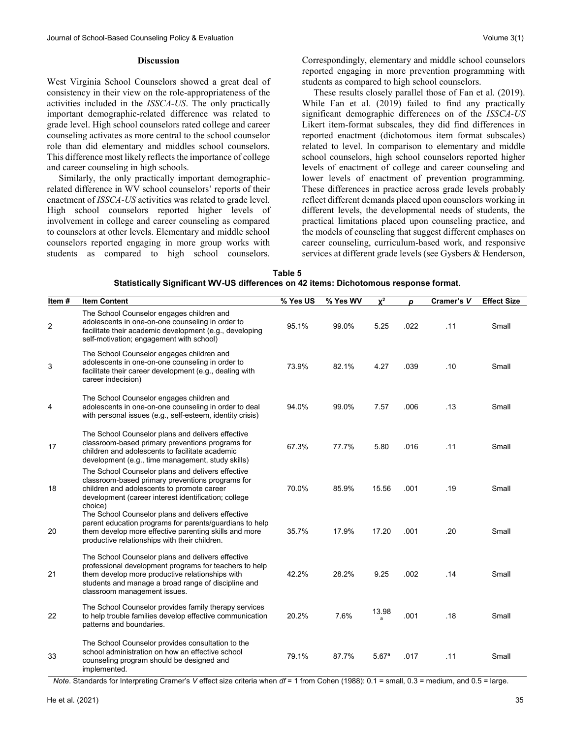### **Discussion**

West Virginia School Counselors showed a great deal of consistency in their view on the role-appropriateness of the activities included in the *ISSCA-US*. The only practically important demographic-related difference was related to grade level. High school counselors rated college and career counseling activates as more central to the school counselor role than did elementary and middles school counselors. This difference most likely reflects the importance of college and career counseling in high schools.

 Similarly, the only practically important demographicrelated difference in WV school counselors' reports of their enactment of *ISSCA-US* activities was related to grade level. High school counselors reported higher levels of involvement in college and career counseling as compared to counselors at other levels. Elementary and middle school counselors reported engaging in more group works with students as compared to high school counselors.

Correspondingly, elementary and middle school counselors reported engaging in more prevention programming with students as compared to high school counselors.

 These results closely parallel those of Fan et al. (2019). While Fan et al. (2019) failed to find any practically significant demographic differences on of the *ISSCA-US* Likert item-format subscales, they did find differences in reported enactment (dichotomous item format subscales) related to level. In comparison to elementary and middle school counselors, high school counselors reported higher levels of enactment of college and career counseling and lower levels of enactment of prevention programming. These differences in practice across grade levels probably reflect different demands placed upon counselors working in different levels, the developmental needs of students, the practical limitations placed upon counseling practice, and the models of counseling that suggest different emphases on career counseling, curriculum-based work, and responsive services at different grade levels (see Gysbers & Henderson,

| Table 5                                                                               |
|---------------------------------------------------------------------------------------|
| Statistically Significant WV-US differences on 42 items: Dichotomous response format. |

| Item#          | <b>Item Content</b>                                                                                                                                                                                                                                   | % Yes US | % Yes WV | $\chi^2$ | D    | Cramer's V | <b>Effect Size</b> |
|----------------|-------------------------------------------------------------------------------------------------------------------------------------------------------------------------------------------------------------------------------------------------------|----------|----------|----------|------|------------|--------------------|
| $\overline{c}$ | The School Counselor engages children and<br>adolescents in one-on-one counseling in order to<br>facilitate their academic development (e.g., developing<br>self-motivation; engagement with school)                                                  | 95.1%    | 99.0%    | 5.25     | .022 | .11        | Small              |
| 3              | The School Counselor engages children and<br>adolescents in one-on-one counseling in order to<br>facilitate their career development (e.g., dealing with<br>career indecision)                                                                        | 73.9%    | 82.1%    | 4.27     | .039 | .10        | Small              |
| 4              | The School Counselor engages children and<br>adolescents in one-on-one counseling in order to deal<br>with personal issues (e.g., self-esteem, identity crisis)                                                                                       | 94.0%    | 99.0%    | 7.57     | .006 | .13        | Small              |
| 17             | The School Counselor plans and delivers effective<br>classroom-based primary preventions programs for<br>children and adolescents to facilitate academic<br>development (e.g., time management, study skills)                                         | 67.3%    | 77.7%    | 5.80     | .016 | .11        | Small              |
| 18             | The School Counselor plans and delivers effective<br>classroom-based primary preventions programs for<br>children and adolescents to promote career<br>development (career interest identification; college<br>choice)                                | 70.0%    | 85.9%    | 15.56    | .001 | .19        | Small              |
| 20             | The School Counselor plans and delivers effective<br>parent education programs for parents/guardians to help<br>them develop more effective parenting skills and more<br>productive relationships with their children.                                | 35.7%    | 17.9%    | 17.20    | .001 | .20        | Small              |
| 21             | The School Counselor plans and delivers effective<br>professional development programs for teachers to help<br>them develop more productive relationships with<br>students and manage a broad range of discipline and<br>classroom management issues. | 42.2%    | 28.2%    | 9.25     | .002 | .14        | Small              |
| 22             | The School Counselor provides family therapy services<br>to help trouble families develop effective communication<br>patterns and boundaries.                                                                                                         | 20.2%    | 7.6%     | 13.98    | .001 | .18        | Small              |
| 33             | The School Counselor provides consultation to the<br>school administration on how an effective school<br>counseling program should be designed and<br>implemented.                                                                                    | 79.1%    | 87.7%    | 5.67a    | .017 | .11        | Small              |

*Note*. Standards for Interpreting Cramer's *V* effect size criteria when *df* = 1 from Cohen (1988): 0.1 = small, 0.3 = medium, and 0.5 = large.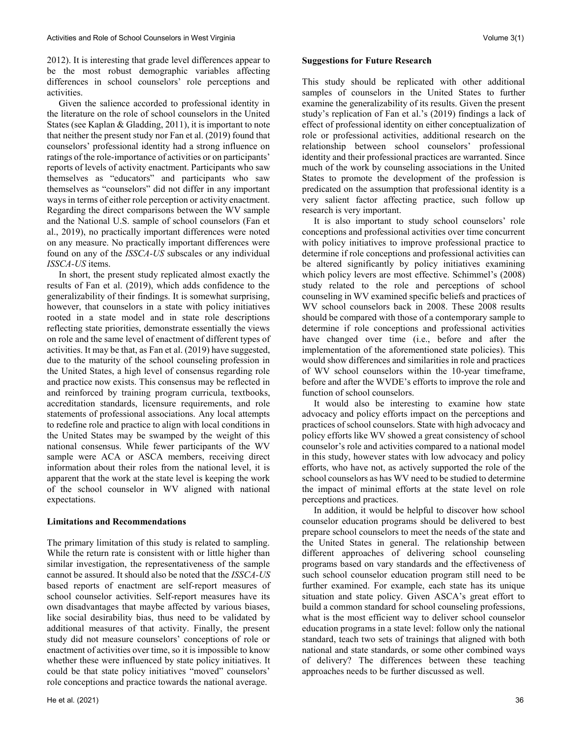2012). It is interesting that grade level differences appear to be the most robust demographic variables affecting differences in school counselors' role perceptions and activities.

 Given the salience accorded to professional identity in the literature on the role of school counselors in the United States (see Kaplan & Gladding, 2011), it is important to note that neither the present study nor Fan et al. (2019) found that counselors' professional identity had a strong influence on ratings of the role-importance of activities or on participants' reports of levels of activity enactment. Participants who saw themselves as "educators" and participants who saw themselves as "counselors" did not differ in any important ways in terms of either role perception or activity enactment. Regarding the direct comparisons between the WV sample and the National U.S. sample of school counselors (Fan et al., 2019), no practically important differences were noted on any measure. No practically important differences were found on any of the *ISSCA-US* subscales or any individual *ISSCA-US* items.

 In short, the present study replicated almost exactly the results of Fan et al. (2019), which adds confidence to the generalizability of their findings. It is somewhat surprising, however, that counselors in a state with policy initiatives rooted in a state model and in state role descriptions reflecting state priorities, demonstrate essentially the views on role and the same level of enactment of different types of activities. It may be that, as Fan et al. (2019) have suggested, due to the maturity of the school counseling profession in the United States, a high level of consensus regarding role and practice now exists. This consensus may be reflected in and reinforced by training program curricula, textbooks, accreditation standards, licensure requirements, and role statements of professional associations. Any local attempts to redefine role and practice to align with local conditions in the United States may be swamped by the weight of this national consensus. While fewer participants of the WV sample were ACA or ASCA members, receiving direct information about their roles from the national level, it is apparent that the work at the state level is keeping the work of the school counselor in WV aligned with national expectations.

# **Limitations and Recommendations**

The primary limitation of this study is related to sampling. While the return rate is consistent with or little higher than similar investigation, the representativeness of the sample cannot be assured. It should also be noted that the *ISSCA-US*  based reports of enactment are self-report measures of school counselor activities. Self-report measures have its own disadvantages that maybe affected by various biases, like social desirability bias, thus need to be validated by additional measures of that activity. Finally, the present study did not measure counselors' conceptions of role or enactment of activities over time, so it is impossible to know whether these were influenced by state policy initiatives. It could be that state policy initiatives "moved" counselors' role conceptions and practice towards the national average.

#### **Suggestions for Future Research**

This study should be replicated with other additional samples of counselors in the United States to further examine the generalizability of its results. Given the present study's replication of Fan et al.'s (2019) findings a lack of effect of professional identity on either conceptualization of role or professional activities, additional research on the relationship between school counselors' professional identity and their professional practices are warranted. Since much of the work by counseling associations in the United States to promote the development of the profession is predicated on the assumption that professional identity is a very salient factor affecting practice, such follow up research is very important.

 It is also important to study school counselors' role conceptions and professional activities over time concurrent with policy initiatives to improve professional practice to determine if role conceptions and professional activities can be altered significantly by policy initiatives examining which policy levers are most effective. Schimmel's (2008) study related to the role and perceptions of school counseling in WV examined specific beliefs and practices of WV school counselors back in 2008. These 2008 results should be compared with those of a contemporary sample to determine if role conceptions and professional activities have changed over time (i.e., before and after the implementation of the aforementioned state policies). This would show differences and similarities in role and practices of WV school counselors within the 10-year timeframe, before and after the WVDE's efforts to improve the role and function of school counselors.

 It would also be interesting to examine how state advocacy and policy efforts impact on the perceptions and practices of school counselors. State with high advocacy and policy efforts like WV showed a great consistency of school counselor's role and activities compared to a national model in this study, however states with low advocacy and policy efforts, who have not, as actively supported the role of the school counselors as has WV need to be studied to determine the impact of minimal efforts at the state level on role perceptions and practices.

 In addition, it would be helpful to discover how school counselor education programs should be delivered to best prepare school counselors to meet the needs of the state and the United States in general. The relationship between different approaches of delivering school counseling programs based on vary standards and the effectiveness of such school counselor education program still need to be further examined. For example, each state has its unique situation and state policy. Given ASCA's great effort to build a common standard for school counseling professions, what is the most efficient way to deliver school counselor education programs in a state level: follow only the national standard, teach two sets of trainings that aligned with both national and state standards, or some other combined ways of delivery? The differences between these teaching approaches needs to be further discussed as well.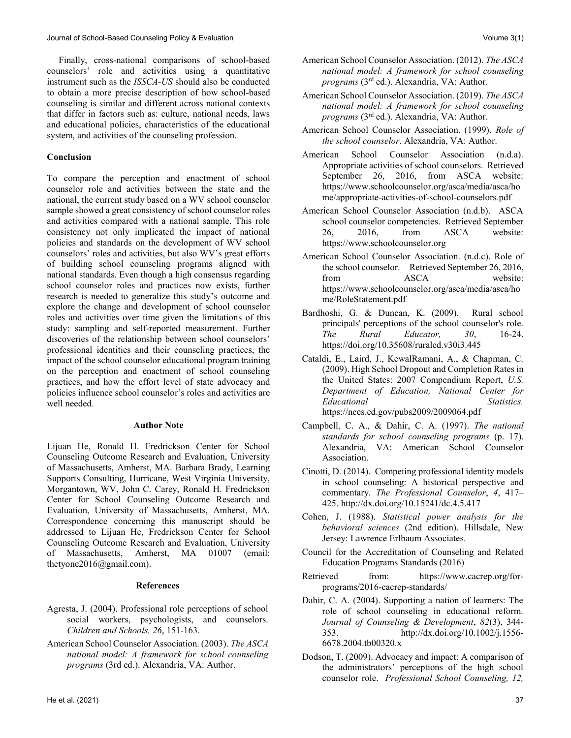Finally, cross-national comparisons of school-based counselors' role and activities using a quantitative instrument such as the *ISSCA-US* should also be conducted to obtain a more precise description of how school-based counseling is similar and different across national contexts that differ in factors such as: culture, national needs, laws and educational policies, characteristics of the educational system, and activities of the counseling profession.

# **Conclusion**

To compare the perception and enactment of school counselor role and activities between the state and the national, the current study based on a WV school counselor sample showed a great consistency of school counselor roles and activities compared with a national sample. This role consistency not only implicated the impact of national policies and standards on the development of WV school counselors' roles and activities, but also WV's great efforts of building school counseling programs aligned with national standards. Even though a high consensus regarding school counselor roles and practices now exists, further research is needed to generalize this study's outcome and explore the change and development of school counselor roles and activities over time given the limitations of this study: sampling and self-reported measurement. Further discoveries of the relationship between school counselors' professional identities and their counseling practices, the impact of the school counselor educational program training on the perception and enactment of school counseling practices, and how the effort level of state advocacy and policies influence school counselor's roles and activities are well needed.

# **Author Note**

Lijuan He, Ronald H. Fredrickson Center for School Counseling Outcome Research and Evaluation, University of Massachusetts, Amherst, MA. Barbara Brady, Learning Supports Consulting, Hurricane, West Virginia University, Morgantown, WV, John C. Carey, Ronald H. Fredrickson Center for School Counseling Outcome Research and Evaluation, University of Massachusetts, Amherst, MA. Correspondence concerning this manuscript should be addressed to Lijuan He, Fredrickson Center for School Counseling Outcome Research and Evaluation, University of Massachusetts, Amherst, MA 01007 (email: thetyone2016@gmail.com).

# **References**

- Agresta, J. (2004). Professional role perceptions of school social workers, psychologists, and counselors. *Children and Schools, 26*, 151-163.
- American School Counselor Association. (2003). *The ASCA national model: A framework for school counseling programs* (3rd ed.). Alexandria, VA: Author.
- American School Counselor Association. (2012). *The ASCA national model: A framework for school counseling programs* (3rd ed.). Alexandria, VA: Author.
- American School Counselor Association. (2019). *The ASCA national model: A framework for school counseling programs* (3rd ed.). Alexandria, VA: Author.
- American School Counselor Association. (1999). *Role of the school counselor*. Alexandria, VA: Author.
- American School Counselor Association (n.d.a). Appropriate activities of school counselors. Retrieved September 26, 2016, from ASCA website: [https://www.schoolcounselor.org/asca/media/asca/ho](https://www.schoolcounselor.org/asca/media/asca/home/appropriate-activities-of-school-counselors.pdf) [me/appropriate-activities-of-school-counselors.pdf](https://www.schoolcounselor.org/asca/media/asca/home/appropriate-activities-of-school-counselors.pdf)
- American School Counselor Association (n.d.b). ASCA school counselor competencies. Retrieved September 26, 2016, from ASCA website: [https://www.schoolcounselor.org](https://www.schoolcounselor.org/)
- American School Counselor Association. (n.d.c). Role of the school counselor. Retrieved September 26, 2016, from ASCA website: [https://www.schoolcounselor.org/asca/media/asca/ho](https://www.schoolcounselor.org/asca/media/asca/home/RoleStatement.pdf) [me/RoleStatement.pdf](https://www.schoolcounselor.org/asca/media/asca/home/RoleStatement.pdf)
- Bardhoshi, G. & Duncan, K. (2009). Rural school principals' perceptions of the school counselor's role. *The Rural Educator, 30*, 16-24. <https://doi.org/10.35608/ruraled.v30i3.445>
- Cataldi, E., Laird, J., KewalRamani, A., & Chapman, C. (2009). High School Dropout and Completion Rates in the United States: 2007 Compendium Report, *U.S. Department of Education, National Center for Educational Statistics.*  <https://nces.ed.gov/pubs2009/2009064.pdf>
- Campbell, C. A., & Dahir, C. A. (1997). *The national standards for school counseling programs* (p. 17). Alexandria, VA: American School Counselor Association.
- Cinotti, D. (2014). Competing professional identity models in school counseling: A historical perspective and commentary. *The Professional Counselor*, *4*, 417– 425[. http://dx.doi.org/10.15241/dc.4.5.417](http://dx.doi.org/10.15241/dc.4.5.417)
- Cohen, J. (1988). *Statistical power analysis for the behavioral sciences* (2nd edition). Hillsdale, New Jersey: Lawrence Erlbaum Associates.
- Council for the Accreditation of Counseling and Related Education Programs Standards (2016)
- Retrieved from: [https://www.cacrep.org/for](https://www.cacrep.org/for-programs/2016-cacrep-standards/)[programs/2016-cacrep-standards/](https://www.cacrep.org/for-programs/2016-cacrep-standards/)
- Dahir, C. A. (2004). Supporting a nation of learners: The role of school counseling in educational reform. *Journal of Counseling & Development*, *82*(3), 344- 353. [http://dx.doi.org/10.1002/j.1556-](http://dx.doi.org/10.1002/j.1556-6678.2004.tb00320.x) [6678.2004.tb00320.x](http://dx.doi.org/10.1002/j.1556-6678.2004.tb00320.x)
- Dodson, T. (2009). Advocacy and impact: A comparison of the administrators' perceptions of the high school counselor role. *Professional School Counseling, 12,*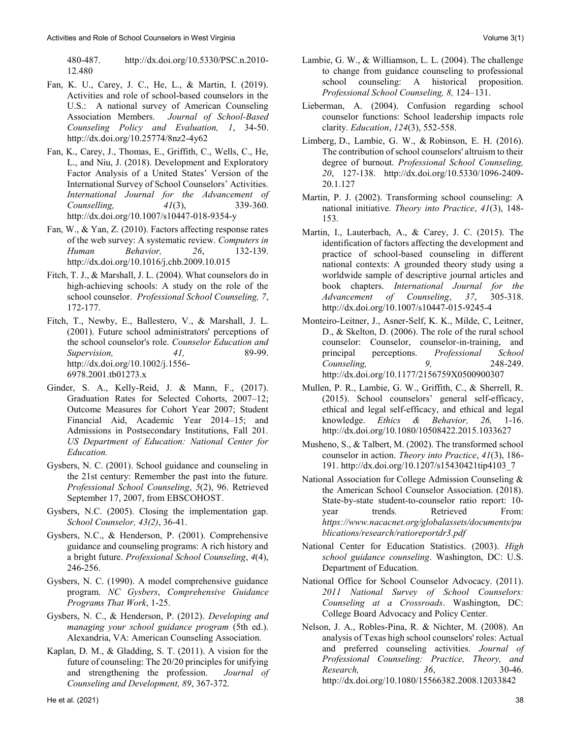480-487. [http://dx.doi.org/10.5330/PSC.n.2010-](http://dx.doi.org/10.5330/PSC.n.2010-12.480) [12.480](http://dx.doi.org/10.5330/PSC.n.2010-12.480)

- Fan, K. U., Carey, J. C., He, L., & Martin, I. (2019). Activities and role of school-based counselors in the U.S.: A national survey of American Counseling Association Members. *Journal of School-Based Counseling Policy and Evaluation, 1*, 34-50. <http://dx.doi.org/10.25774/8nz2-4y62>
- Fan, K., Carey, J., Thomas, E., Griffith, C., Wells, C., He, L., and Niu, J. (2018). Development and Exploratory Factor Analysis of a United States' Version of the International Survey of School Counselors' Activities. *International Journal for the Advancement of Counselling, 41*(3), 339-360. <http://dx.doi.org/10.1007/s10447-018-9354-y>
- Fan, W., & Yan, Z. (2010). Factors affecting response rates of the web survey: A systematic review. *Computers in Human Behavior, 26*, 132-139. <http://dx.doi.org/10.1016/j.chb.2009.10.015>
- Fitch, T. J., & Marshall, J. L. (2004). What counselors do in high-achieving schools: A study on the role of the school counselor. *Professional School Counseling, 7*, 172-177.
- Fitch, T., Newby, E., Ballestero, V., & Marshall, J. L. (2001). Future school administrators' perceptions of the school counselor's role. *Counselor Education and Supervision,* 41, 89-99. [http://dx.doi.org/10.1002/j.1556-](http://dx.doi.org/10.1002/j.1556-6978.2001.tb01273.x) [6978.2001.tb01273.x](http://dx.doi.org/10.1002/j.1556-6978.2001.tb01273.x)
- Ginder, S. A., Kelly-Reid, J. & Mann, F., (2017). Graduation Rates for Selected Cohorts, 2007–12; Outcome Measures for Cohort Year 2007; Student Financial Aid, Academic Year 2014–15; and Admissions in Postsecondary Institutions, Fall 201*. US Department of Education: National Center for Education.*
- Gysbers, N. C. (2001). School guidance and counseling in the 21st century: Remember the past into the future. *Professional School Counseling*, *5*(2), 96. Retrieved September 17, 2007, from EBSCOHOST.
- Gysbers, N.C. (2005). Closing the implementation gap. *School Counselor, 43(2)*, 36-41.
- Gysbers, N.C., & Henderson, P. (2001). Comprehensive guidance and counseling programs: A rich history and a bright future. *Professional School Counseling*, *4*(4), 246-256.
- Gysbers, N. C. (1990). A model comprehensive guidance program. *NC Gysbers*, *Comprehensive Guidance Programs That Work*, 1-25.
- Gysbers, N. C., & Henderson, P. (2012). *Developing and managing your school guidance program* (5th ed.). Alexandria, VA: American Counseling Association.
- Kaplan, D. M., & Gladding, S. T. (2011). A vision for the future of counseling: The 20/20 principles for unifying and strengthening the profession. *Journal of Counseling and Development, 89*, 367-372.
- Lambie, G. W., & Williamson, L. L. (2004). The challenge to change from guidance counseling to professional school counseling: A historical proposition. *Professional School Counseling, 8,* 124–131.
- Lieberman, A. (2004). Confusion regarding school counselor functions: School leadership impacts role clarity. *Education*, *124*(3), 552-558.
- Limberg, D., Lambie, G. W., & Robinson, E. H. (2016). The contribution of school counselors' altruism to their degree of burnout. *Professional School Counseling, 20*, 127-138. [http://dx.doi.org/10.5330/1096-2409-](http://dx.doi.org/10.5330/1096-2409-20.1.127) [20.1.127](http://dx.doi.org/10.5330/1096-2409-20.1.127)
- Martin, P. J. (2002). Transforming school counseling: A national initiative. *Theory into Practice*, *41*(3), 148- 153.
- Martin, I., Lauterbach, A., & Carey, J. C. (2015). The identification of factors affecting the development and practice of school-based counseling in different national contexts: A grounded theory study using a worldwide sample of descriptive journal articles and book chapters. *International Journal for the Advancement of Counseling*, *37*, 305-318. <http://dx.doi.org/10.1007/s10447-015-9245-4>
- Monteiro-Leitner, J., Asner-Self, K. K., Milde, C, Leitner, D., & Skelton, D. (2006). The role of the rural school counselor: Counselor, counselor-in-training, and principal perceptions. *Professional School Counseling, 9,* 248-249. <http://dx.doi.org/10.1177/2156759X0500900307>
- Mullen, P. R., Lambie, G. W., Griffith, C., & Sherrell, R. (2015). School counselors' general self-efficacy, ethical and legal self-efficacy, and ethical and legal knowledge. *Ethics & Behavior, 26,* 1-16. <http://dx.doi.org/10.1080/10508422.2015.1033627>
- Musheno, S., & Talbert, M. (2002). The transformed school counselor in action. *Theory into Practice*, *41*(3), 186- 191[. http://dx.doi.org/10.1207/s15430421tip4103\\_7](http://dx.doi.org/10.1207/s15430421tip4103_7)
- National Association for College Admission Counseling & the American School Counselor Association. (2018). State-by-state student-to-counselor ratio report: 10 year trends. Retrieved From: *[https://www.nacacnet.org/globalassets/documents/pu](https://www.nacacnet.org/globalassets/documents/publications/research/ratioreportdr3.pdf) [blications/research/ratioreportdr3.pdf](https://www.nacacnet.org/globalassets/documents/publications/research/ratioreportdr3.pdf)*
- National Center for Education Statistics. (2003). *High school guidance counseling*. Washington, DC: U.S. Department of Education.
- National Office for School Counselor Advocacy. (2011). *2011 National Survey of School Counselors: Counseling at a Crossroads*. Washington, DC: College Board Advocacy and Policy Center.
- Nelson, J. A., Robles-Pina, R. & Nichter, M. (2008). An analysis of Texas high school counselors' roles: Actual and preferred counseling activities. *Journal of Professional Counseling: Practice, Theory, and Research, 36*, 30-46. <http://dx.doi.org/10.1080/15566382.2008.12033842>